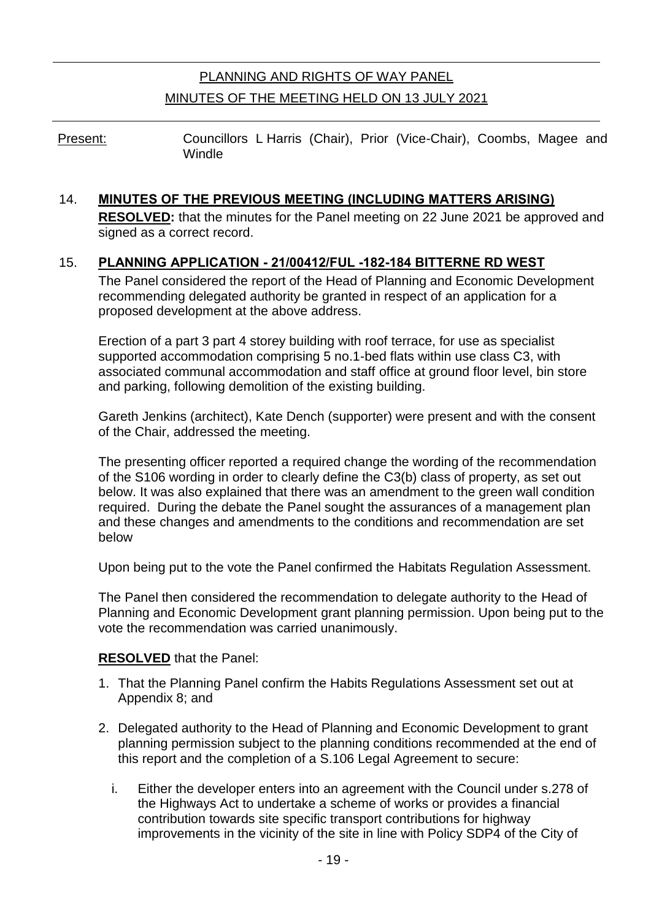# PLANNING AND RIGHTS OF WAY PANEL MINUTES OF THE MEETING HELD ON 13 JULY 2021

Present: Councillors L Harris (Chair), Prior (Vice-Chair), Coombs, Magee and **Windle** 

#### 14. **MINUTES OF THE PREVIOUS MEETING (INCLUDING MATTERS ARISING)**

**RESOLVED:** that the minutes for the Panel meeting on 22 June 2021 be approved and signed as a correct record.

#### 15. **PLANNING APPLICATION - 21/00412/FUL -182-184 BITTERNE RD WEST**

The Panel considered the report of the Head of Planning and Economic Development recommending delegated authority be granted in respect of an application for a proposed development at the above address.

Erection of a part 3 part 4 storey building with roof terrace, for use as specialist supported accommodation comprising 5 no.1-bed flats within use class C3, with associated communal accommodation and staff office at ground floor level, bin store and parking, following demolition of the existing building.

Gareth Jenkins (architect), Kate Dench (supporter) were present and with the consent of the Chair, addressed the meeting.

The presenting officer reported a required change the wording of the recommendation of the S106 wording in order to clearly define the C3(b) class of property, as set out below. It was also explained that there was an amendment to the green wall condition required. During the debate the Panel sought the assurances of a management plan and these changes and amendments to the conditions and recommendation are set below

Upon being put to the vote the Panel confirmed the Habitats Regulation Assessment.

The Panel then considered the recommendation to delegate authority to the Head of Planning and Economic Development grant planning permission. Upon being put to the vote the recommendation was carried unanimously.

#### **RESOLVED** that the Panel:

- 1. That the Planning Panel confirm the Habits Regulations Assessment set out at Appendix 8; and
- 2. Delegated authority to the Head of Planning and Economic Development to grant planning permission subject to the planning conditions recommended at the end of this report and the completion of a S.106 Legal Agreement to secure:
	- i. Either the developer enters into an agreement with the Council under s.278 of the Highways Act to undertake a scheme of works or provides a financial contribution towards site specific transport contributions for highway improvements in the vicinity of the site in line with Policy SDP4 of the City of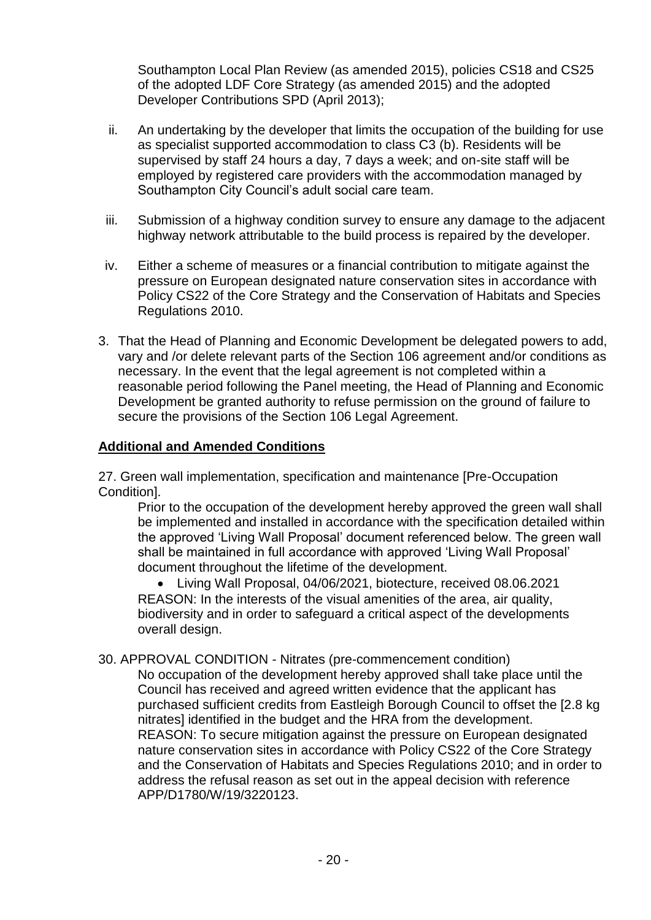Southampton Local Plan Review (as amended 2015), policies CS18 and CS25 of the adopted LDF Core Strategy (as amended 2015) and the adopted Developer Contributions SPD (April 2013);

- ii. An undertaking by the developer that limits the occupation of the building for use as specialist supported accommodation to class C3 (b). Residents will be supervised by staff 24 hours a day, 7 days a week; and on-site staff will be employed by registered care providers with the accommodation managed by Southampton City Council's adult social care team.
- iii. Submission of a highway condition survey to ensure any damage to the adjacent highway network attributable to the build process is repaired by the developer.
- iv. Either a scheme of measures or a financial contribution to mitigate against the pressure on European designated nature conservation sites in accordance with Policy CS22 of the Core Strategy and the Conservation of Habitats and Species Regulations 2010.
- 3. That the Head of Planning and Economic Development be delegated powers to add, vary and /or delete relevant parts of the Section 106 agreement and/or conditions as necessary. In the event that the legal agreement is not completed within a reasonable period following the Panel meeting, the Head of Planning and Economic Development be granted authority to refuse permission on the ground of failure to secure the provisions of the Section 106 Legal Agreement.

#### **Additional and Amended Conditions**

27. Green wall implementation, specification and maintenance [Pre-Occupation Condition].

Prior to the occupation of the development hereby approved the green wall shall be implemented and installed in accordance with the specification detailed within the approved 'Living Wall Proposal' document referenced below. The green wall shall be maintained in full accordance with approved 'Living Wall Proposal' document throughout the lifetime of the development.

 Living Wall Proposal, 04/06/2021, biotecture, received 08.06.2021 REASON: In the interests of the visual amenities of the area, air quality, biodiversity and in order to safeguard a critical aspect of the developments overall design.

30. APPROVAL CONDITION - Nitrates (pre-commencement condition)

No occupation of the development hereby approved shall take place until the Council has received and agreed written evidence that the applicant has purchased sufficient credits from Eastleigh Borough Council to offset the [2.8 kg nitrates] identified in the budget and the HRA from the development. REASON: To secure mitigation against the pressure on European designated nature conservation sites in accordance with Policy CS22 of the Core Strategy and the Conservation of Habitats and Species Regulations 2010; and in order to address the refusal reason as set out in the appeal decision with reference APP/D1780/W/19/3220123.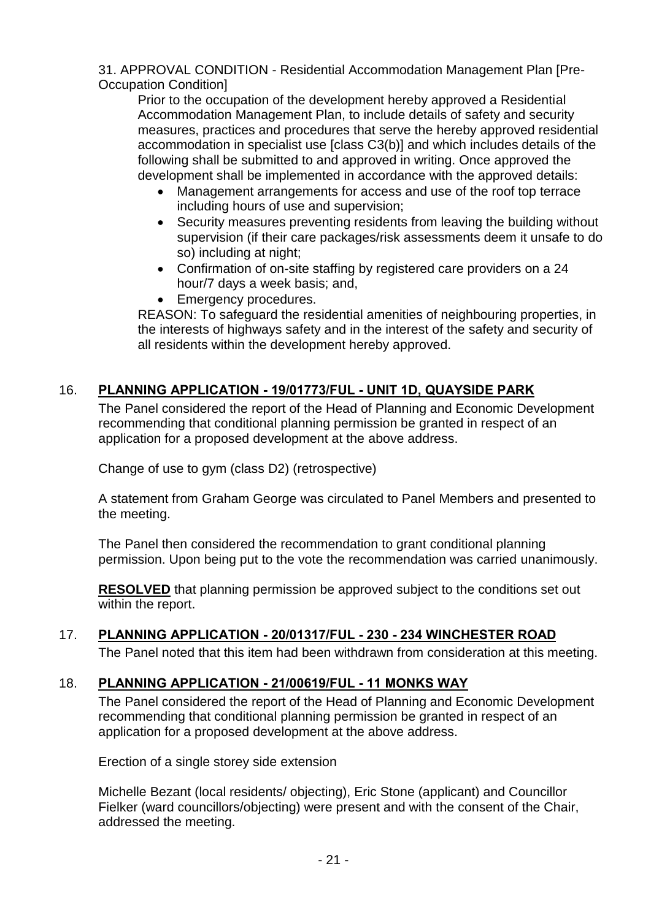31. APPROVAL CONDITION - Residential Accommodation Management Plan [Pre-Occupation Condition]

Prior to the occupation of the development hereby approved a Residential Accommodation Management Plan, to include details of safety and security measures, practices and procedures that serve the hereby approved residential accommodation in specialist use [class C3(b)] and which includes details of the following shall be submitted to and approved in writing. Once approved the development shall be implemented in accordance with the approved details:

- Management arrangements for access and use of the roof top terrace including hours of use and supervision;
- Security measures preventing residents from leaving the building without supervision (if their care packages/risk assessments deem it unsafe to do so) including at night;
- Confirmation of on-site staffing by registered care providers on a 24 hour/7 days a week basis; and,
- **Emergency procedures.**

REASON: To safeguard the residential amenities of neighbouring properties, in the interests of highways safety and in the interest of the safety and security of all residents within the development hereby approved.

## 16. **PLANNING APPLICATION - 19/01773/FUL - UNIT 1D, QUAYSIDE PARK**

The Panel considered the report of the Head of Planning and Economic Development recommending that conditional planning permission be granted in respect of an application for a proposed development at the above address.

Change of use to gym (class D2) (retrospective)

A statement from Graham George was circulated to Panel Members and presented to the meeting.

The Panel then considered the recommendation to grant conditional planning permission. Upon being put to the vote the recommendation was carried unanimously.

**RESOLVED** that planning permission be approved subject to the conditions set out within the report.

# 17. **PLANNING APPLICATION - 20/01317/FUL - 230 - 234 WINCHESTER ROAD**

The Panel noted that this item had been withdrawn from consideration at this meeting.

## 18. **PLANNING APPLICATION - 21/00619/FUL - 11 MONKS WAY**

The Panel considered the report of the Head of Planning and Economic Development recommending that conditional planning permission be granted in respect of an application for a proposed development at the above address.

Erection of a single storey side extension

Michelle Bezant (local residents/ objecting), Eric Stone (applicant) and Councillor Fielker (ward councillors/objecting) were present and with the consent of the Chair, addressed the meeting.